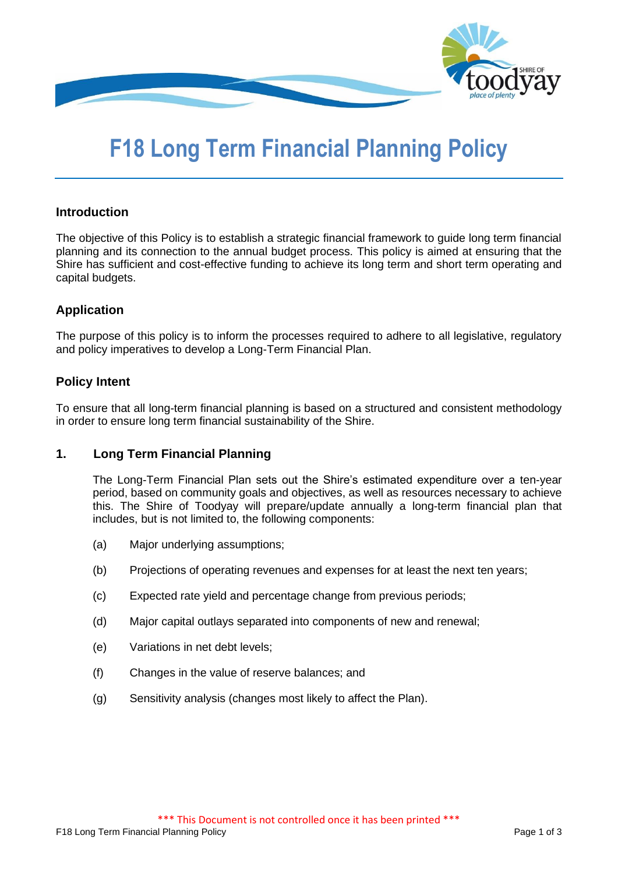

# **F18 Long Term Financial Planning Policy**

# **Introduction**

The objective of this Policy is to establish a strategic financial framework to guide long term financial planning and its connection to the annual budget process. This policy is aimed at ensuring that the Shire has sufficient and cost-effective funding to achieve its long term and short term operating and capital budgets.

# **Application**

The purpose of this policy is to inform the processes required to adhere to all legislative, regulatory and policy imperatives to develop a Long-Term Financial Plan.

## **Policy Intent**

To ensure that all long-term financial planning is based on a structured and consistent methodology in order to ensure long term financial sustainability of the Shire.

# **1. Long Term Financial Planning**

The Long-Term Financial Plan sets out the Shire's estimated expenditure over a ten-year period, based on community goals and objectives, as well as resources necessary to achieve this. The Shire of Toodyay will prepare/update annually a long-term financial plan that includes, but is not limited to, the following components:

- (a) Major underlying assumptions;
- (b) Projections of operating revenues and expenses for at least the next ten years;
- (c) Expected rate yield and percentage change from previous periods;
- (d) Major capital outlays separated into components of new and renewal;
- (e) Variations in net debt levels;
- (f) Changes in the value of reserve balances; and
- (g) Sensitivity analysis (changes most likely to affect the Plan).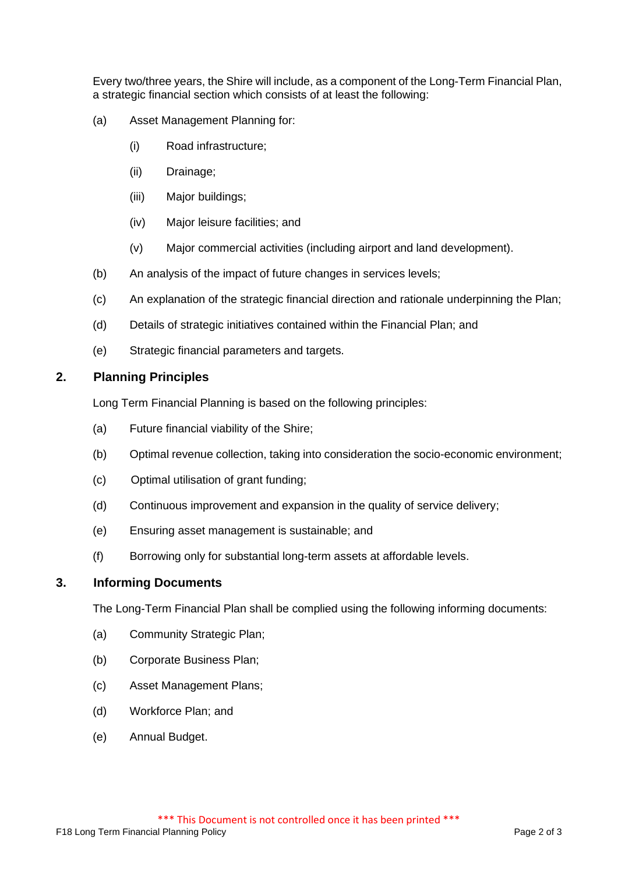Every two/three years, the Shire will include, as a component of the Long-Term Financial Plan, a strategic financial section which consists of at least the following:

- (a) Asset Management Planning for:
	- (i) Road infrastructure;
	- (ii) Drainage;
	- (iii) Major buildings;
	- (iv) Major leisure facilities; and
	- (v) Major commercial activities (including airport and land development).
- (b) An analysis of the impact of future changes in services levels;
- (c) An explanation of the strategic financial direction and rationale underpinning the Plan;
- (d) Details of strategic initiatives contained within the Financial Plan; and
- (e) Strategic financial parameters and targets.

## **2. Planning Principles**

Long Term Financial Planning is based on the following principles:

- (a) Future financial viability of the Shire;
- (b) Optimal revenue collection, taking into consideration the socio-economic environment;
- (c) Optimal utilisation of grant funding;
- (d) Continuous improvement and expansion in the quality of service delivery;
- (e) Ensuring asset management is sustainable; and
- (f) Borrowing only for substantial long-term assets at affordable levels.

#### **3. Informing Documents**

The Long-Term Financial Plan shall be complied using the following informing documents:

- (a) Community Strategic Plan;
- (b) Corporate Business Plan;
- (c) Asset Management Plans;
- (d) Workforce Plan; and
- (e) Annual Budget.